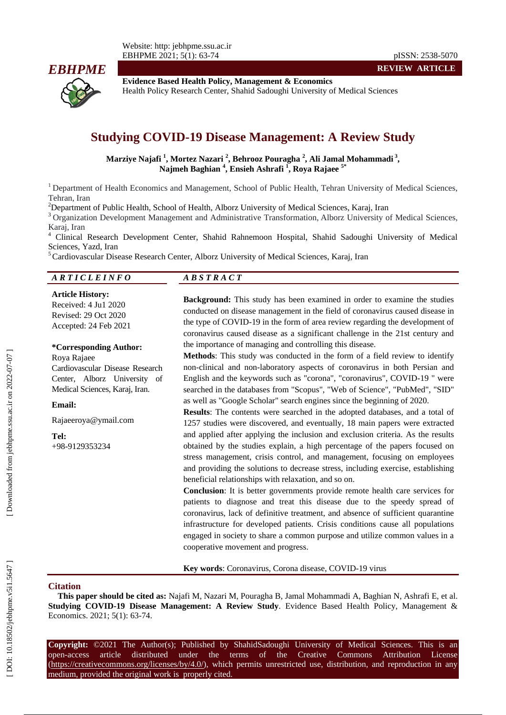

**Evidence Based Health Policy, Management & Economics** Health Policy Research Center, Shahid Sadoughi University of Medical Sciences

# **Studying COVID -19 Disease Management: A Review Study**

**Marziye Najafi 1 , Mortez Nazari 2 , Behrooz Pouragha 2 , Ali Jamal Mohammadi 3 , Najmeh Baghian 4 , Ensieh Ashrafi 1 , Roya Rajaee 5 \***

<sup>1</sup> Department of Health Economics and Management, School of Public Health, Tehran University of Medical Sciences, Tehran, Iran<br><sup>2</sup>Department of Public Health, School of Health, Alborz University of Medical Sciences, Karaj, Iran

<sup>3</sup> Organization Development Management and Administrative Transformation, Alborz University of Medical Sciences, Karaj, Iran<br><sup>4</sup> Clinical Research Development Center, Shahid Rahnemoon Hospital, Shahid Sadoughi University of Medical

Sciences, Yazd, Iran<br><sup>5</sup> Cardiovascular Disease Research Center, Alborz University of Medical Sciences, Karaj, Iran

#### *A R T I C L E I N F O A B S T R A C T*

**Article History:** Received: 4 Ju 1 2020 Revised: 29 Oct 2020 Accepted: 2 4 Feb 202 1

#### **\*Corresponding Author:**

Roya Rajaee Cardiovascular Disease Research Center, Alborz University of Medical Sciences, Karaj, Iran.

**Email:**

Rajaeeroya@ymail.com

**Tel:** +98 -9129353234

**Background:** This study has been examined in order to examine the studies conducted on disease management in the field of coronavirus caused disease in the type of COVID -19 in the form of area review regarding the development of coronavirus caused disease as a significant challenge in the 21st century and the importance of managing and controlling this disease.

**REVIEW ARTICLE**

**Methods**: This study was conducted in the form of a field review to identify non -clinical and non -laboratory aspects of coronavirus in both Persian and English and the keywords such as "corona", "coronavirus", COVID -19 " were searched in the databases from "Scopus", "Web of Science", "PubMed", "SID" as well as "Google Scholar" search engines since the beginning of 2020.

**Results**: The contents were searched in the adopted databases, and a total of 1257 studies were discovered, and eventually, 18 main papers were extracted and applied after applying the inclusion and exclusion criteria. As the results obtained by the studies explain, a high percentage of the papers focused on stress management, crisis control, and management, focusing on employees and providing the solutions to decrease stress, including exercise, establishing beneficial relationships with relaxation, and so on.

**Conclusion**: It is better governments provide remote health care services for patients to diagnose and treat this disease due to the speedy spread of coronavirus, lack of definitive treatment, and absence of sufficient quarantine infrastructure for developed patients. Crisis conditions cause all populations engaged in society to share a common purpose and utilize common values in a cooperative movement and progress.

**Key words**: Coronavirus, Corona disease, COVID -19 virus

#### **Citation**

**This paper should be cited as:** Najafi M, Nazari M, Pouragha B, Jamal Mohammadi A, Baghian N, Ashrafi E, et al. **Studying COVID -19 Disease Management: A Review Study**. Evidence Based Health Policy, Management & Economics. 2021; 5(1): 63-74.

Copyright: ©2021 The Author(s); Published by ShahidSadoughi University of Medical Sciences. This is an open-access -access article distributed under the terms of the Creative Commons Attribution License (https://creativecommons.org/licenses/by/4.0/), which permits unrestricted use, distribution, and reproduction in any medium, provided the original work is properly cited.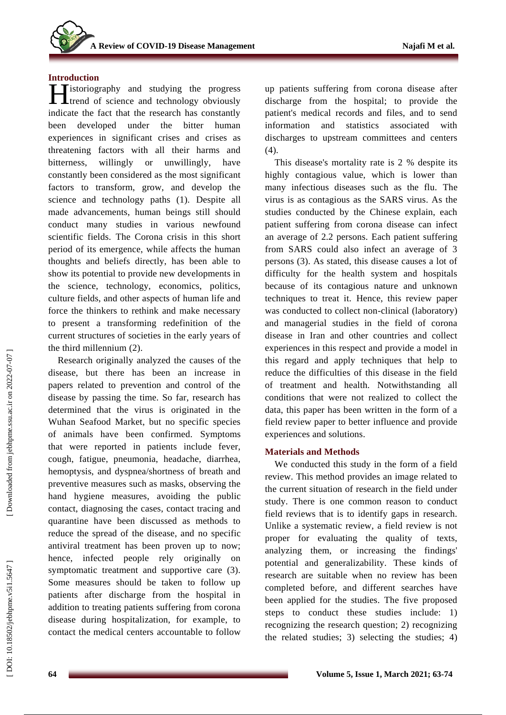# **Introduction**

**Tistoriography** and studying the progress **H**istoriography and studying the progress<br>
trend of science and technology obviously indicate the fact that the research has constantly been developed under the bitter human experiences in significant crises and crises as threatening factors with all their harms and bitterness, willingly or unwillingly, have constantly been considered as the most significant factors to transform, grow, and develop the science and technology paths (1). Despite all made advancements, human beings still should conduct many studies in various newfound scientific fields. The Corona crisis in this short period of its emergence, while affects the human thoughts and beliefs directly, has been able to show its potential to provide new developments in the science, technology, economics, politics, culture fields, and other aspects of human life and force the thinkers to rethink and make necessary to present a transforming redefinition of the current structures of societies in the early years of the third millennium (2) .

Research originally analyzed the causes of the disease, but there has been an increase in papers related to prevention and control of the disease by passing the time. So far, research has determined that the virus is originated in the Wuhan Seafood Market, but no specific species of animals have been confirmed. Symptoms that were reported in patients include fever, cough, fatigue, pneumonia, headache, diarrhea, hemoptysis, and dyspnea/shortness of breath and preventive measures such as masks, observing the hand hygiene measures, avoiding the public contact, diagnosing the cases, contact tracing and quarantine have been discussed as methods to reduce the spread of the disease, and no specific antiviral treatment has been proven up to now; hence, infected people rely originally on symptomatic treatment and supportive care (3). Some measures should be taken to follow up patients after discharge from the hospital in addition to treating patients suffering from corona disease during hospitalization, for example, to contact the medical centers accountable to follow

up patients suffering from corona disease after discharge from the hospital; to provide the patient's medical records and files, and to send information and statistics associated with discharges to upstream committees and centers (4) .

This disease's mortality rate is 2 % despite its highly contagious value, which is lower than many infectious diseases such as the flu. The virus is as contagious as the SARS virus. As the studies conducted by the Chinese explain, each patient suffering from corona disease can infect an average of 2.2 persons. Each patient suffering from SARS could also infect an average of 3 persons (3). As stated, this disease causes a lot of difficulty for the health system and hospitals because of its contagious nature and unknown techniques to treat it. Hence, this review paper was conducted to collect non -clinical (laboratory) and managerial studies in the field of corona disease in Iran and other countries and collect experiences in this respect and provide a model in this regard and apply techniques that help to reduce the difficulties of this disease in the field of treatment and health. Notwithstanding all conditions that were not realized to collect the data, this paper has been written in the form of a field review paper to better influence and provide experiences and solutions.

# **Materials and Methods**

We conducted this study in the form of a field review. This method provides an image related to the current situation of research in the field under study. There is one common reason to conduct field reviews that is to identify gaps in research. Unlike a systematic review, a field review is not proper for evaluating the quality of texts, analyzing them, or increasing the findings' potential and generalizability. These kinds of research are suitable when no review has been completed before, and different searches have been applied for the studies. The five proposed steps to conduct these studies include: 1) recognizing the research question; 2) recognizing the related studies; 3) selecting the studies; 4)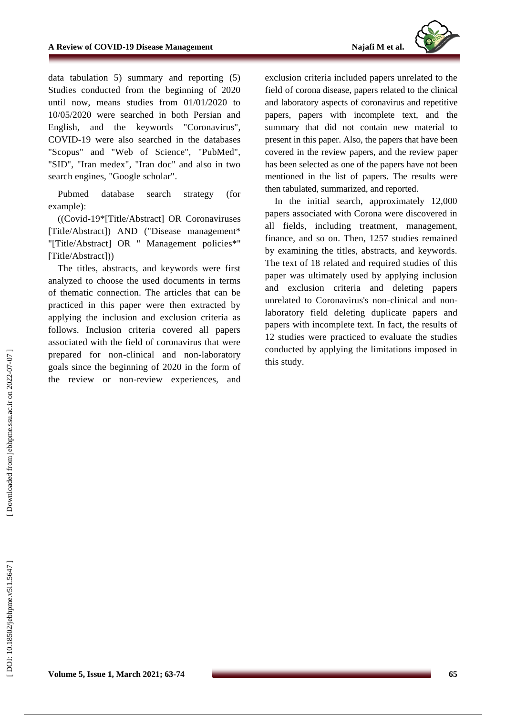

data tabulation 5) summary and reporting (5) Studies conducted from the beginning of 2020 until now, means studies from 01/01/2020 to 10/05/2020 were searched in both Persian and English, and the keywords "Coronavirus", COVID -19 were also searched in the databases "Scopus" and "Web of Science", "PubMed", "SID", "Iran medex", "Iran doc" and also in two search engines, "Google scholar" .

Pubmed database search strategy (for example) :

((Covid -19\*[Title/Abstract] OR Coronaviruses [Title/Abstract]) AND ("Disease management\* "[Title/Abstract] OR " Management policies\*" [Title/Abstract]))

The titles, abstracts, and keywords were first analyzed to choose the used documents in terms of thematic connection. The articles that can be practiced in this paper were then extracted by applying the inclusion and exclusion criteria as follows. Inclusion criteria covered all papers associated with the field of coronavirus that were prepared for non -clinical and non -laboratory goals since the beginning of 2020 in the form of the review or non -review experiences, and

exclusion criteria included papers unrelated to the field of corona disease , papers related to the clinical and laboratory aspects of coronavirus and repetitive papers, papers with incomplete text, and the summary that did not contain new material to present in this paper. Also, the papers that have been covered in the review papers, and the review paper has been selected as one of the papers have not been mentioned in the list of papers. The results were then tabulated, summarized, and reported.

In the initial search, approximately 12,000 papers associated with Corona were discovered in all fields, including treatment, management, finance, and so on. Then, 1257 studies remained by examining the titles, abstracts, and keywords. The text of 18 related and required studies of this paper was ultimately used by applying inclusion and exclusion criteria and deleting papers unrelated to Coronavirus's non -clinical and non laboratory field deleting duplicate papers and papers with incomplete text. In fact, the results of 12 studies were practiced to evaluate the studies conducted by applying the limitations imposed in this study.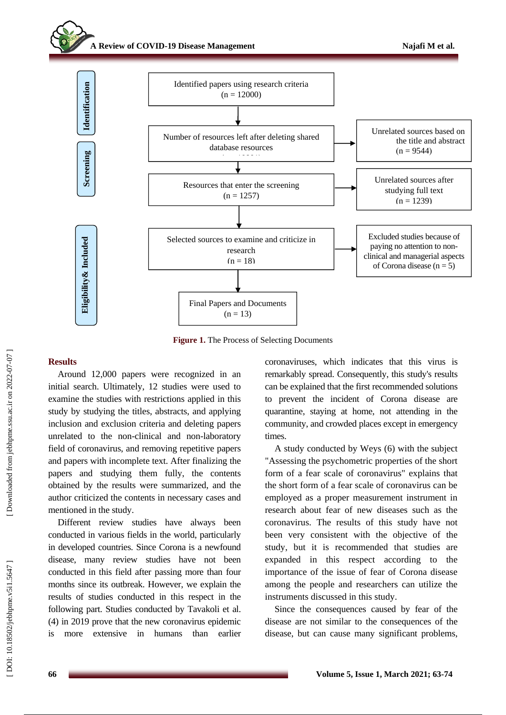### **A Review of COVID -19 Disease Management**



**Figure 1.** The Process of Selecting Documents

#### **Results**

Around 12,000 papers were recognized in an initial search. Ultimately, 12 studies were used to examine the studies with restrictions applied in this study by studying the titles, abstracts, and applying inclusion and exclusion criteria and deleting papers unrelated to the non -clinical and non -laboratory field of coronavirus, and removing repetitive papers and papers with incomplete text. After finalizing the papers and studying them fully, the contents obtained by the results were summarized, and the author criticized the contents in necessary cases and mentioned in the study.

Different review studies have always been conducted in various fields in the world, particularly in developed countries. Since Corona is a newfound disease, many review studies have not been conducted in this field after passing more than four months since its outbreak. However, we explain the results of studies conducted in this respect in the following part. Studies conducted by Tavakoli et al. (4) in 2019 prove that the new coronavirus epidemic is more extensive in humans than earlier coronaviruses, which indicates that this virus is remarkably spread. Consequently, this study's results can be explained that the first recommended solutions to prevent the incident of Corona disease are quarantine, staying at home, not attending in the community, and crowded places except in emergency times.

A study conducted by Weys (6) with the subject "Assessing the psychometric properties of the short form of a fear scale of coronavirus" explains that the short form of a fear scale of coronavirus can be employed as a proper measurement instrument in research about fear of new diseases such as the coronavirus. The results of this study have not been very consistent with the objective of the study, but it is recommended that studies are expanded in this respect according to the importance of the issue of fear of Corona disease among the people and researchers can utilize the instruments discussed in this study .

Since the consequences caused by fear of the disease are not similar to the consequences of the disease, but can cause many significant problems,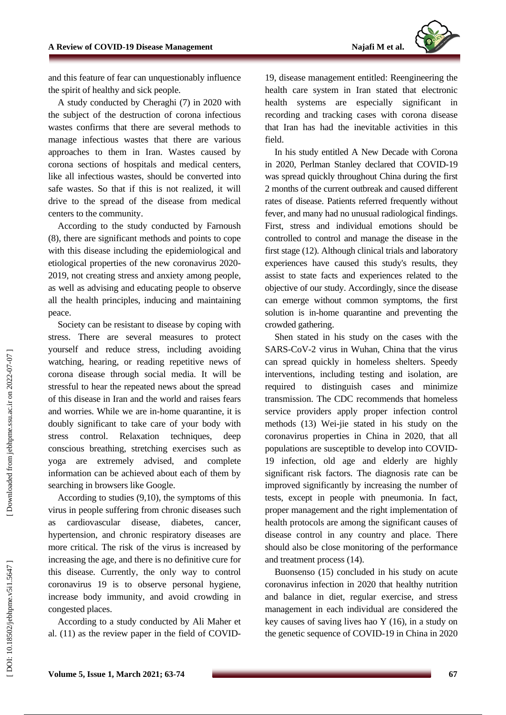

and this feature of fear can unquestionably influence the spirit of healthy and sick people.

A study conducted by Cheraghi (7) in 2020 with the subject of the destruction of corona infectious wastes confirms that there are several methods to manage infectious wastes that there are various approaches to them in Iran . Wastes caused by corona sections of hospitals and medical centers, like all infectious wastes, should be converted into safe wastes. So that if this is not realized, it will drive to the spread of the disease from medical centers to the community.

According to the study conducted by Farnoush (8), there are significant methods and points to cope with this disease including the epidemiological and etiological properties of the new coronavirus 2020 - 2019, not creating stress and anxiety among people, as well as advising and educating people to observe all the health principles, inducing and maintaining peace.

Society can be resistant to disease by coping with stress. There are several measures to protect yourself and reduce stress, including avoiding watching, hearing, or reading repetitive news of corona disease through social media. It will be stressful to hear the repeated news about the spread of this disease in Iran and the world and raises fears and worries. While we are in -home quarantine, it is doubly significant to take care of your body with stress control. Relaxation techniques, deep conscious breathing, stretching exercises such as yoga are extremely advised, and complete information can be achieved about each of them by searching in browsers like Google.

According to studies (9,10), the symptoms of this virus in people suffering from chronic diseases such as cardiovascular disease, diabetes, cancer, hypertension, and chronic respiratory diseases are more critical. The risk of the virus is increased by increasing the age, and there is no definitive cure for this disease. Currently, the only way to control coronavirus 19 is to observe personal hygiene, increase body immunity, and avoid crowding in congested places.

According to a study conducted by Ali Maher et al. (11) as the review paper in the field of COVID -

19, disease management entitled: Reengineering the health care system in Iran stated that electronic health systems are especially significant in recording and tracking cases with corona disease that Iran has had the inevitable activities in this field .

In his study entitled A New Decade with Corona in 2020, Perlman Stanley declared that COVID -19 was spread quickly throughout China during the first 2 months of the current outbreak and caused different rates of disease. Patients referred frequently without fever, and many had no unusual radiological findings. First, stress and individual emotions should be controlled to control and manage the disease in the first stage (12). Although clinical trials and laboratory experiences have caused this study's results, they assist to state facts and experiences related to the objective of our study. Accordingly, since the disease can emerge without common symptoms, the first solution is in -home quarantine and preventing the crowded gathering.

Shen stated in his study on the cases with the SARS -CoV -2 virus in Wuhan, China that the virus can spread quickly in homeless shelters. Speedy interventions, including testing and isolation, are required to distinguish cases and minimize transmission. The CDC recommends that homeless service providers apply proper infection control methods (13) Wei -jie stated in his study on the coronavirus properties in China in 2020, that all populations are susceptible to develop into COVID - 19 infection, old age and elderly are highly significant risk factors. The diagnosis rate can be improved significantly by increasing the number of tests, except in people with pneumonia. In fact, proper management and the right implementation of health protocols are among the significant causes of disease control in any country and place. There should also be close monitoring of the performance and treatment process (14).

Buonsenso (15) concluded in his study on acute coronavirus infection in 2020 that healthy nutrition and balance in diet, regular exercise, and stress management in each individual are considered the key causes of saving lives hao Y (16), in a study on the genetic sequence of COVID -19 in China in 2020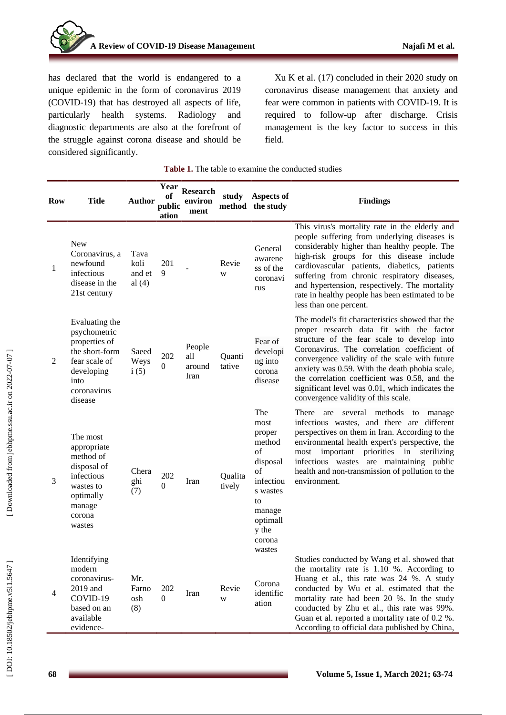

has declared that the world is endangered to a unique epidemic in the form of coronavirus 2019 (COVID -19) that has destroyed all aspects of life, particularly health systems. Radiology and diagnostic departments are also at the forefront of the struggle against corona disease and should be considered significantly.

Xu K et al. (17) concluded in their 2020 study on coronavirus disease management that anxiety and fear were common in patients with COVID -19. It is required to follow -up after discharge. Crisis management is the key factor to success in this field.

|  |  |  | <b>Table 1.</b> The table to examine the conducted studies |  |
|--|--|--|------------------------------------------------------------|--|
|--|--|--|------------------------------------------------------------|--|

| <b>Row</b> | <b>Title</b>                                                                                                                       | Author                             | Year<br>оf<br>public<br>ation | <b>Research</b><br>environ<br>ment | study             | Aspects of<br>method the study                                                                                                  | <b>Findings</b>                                                                                                                                                                                                                                                                                                                                                                                                                         |
|------------|------------------------------------------------------------------------------------------------------------------------------------|------------------------------------|-------------------------------|------------------------------------|-------------------|---------------------------------------------------------------------------------------------------------------------------------|-----------------------------------------------------------------------------------------------------------------------------------------------------------------------------------------------------------------------------------------------------------------------------------------------------------------------------------------------------------------------------------------------------------------------------------------|
| 1          | <b>New</b><br>Coronavirus, a<br>newfound<br>infectious<br>disease in the<br>21st century                                           | Tava<br>koli<br>and et<br>al $(4)$ | 201<br>9                      |                                    | Revie<br>W        | General<br>awarene<br>ss of the<br>coronavi<br>rus                                                                              | This virus's mortality rate in the elderly and<br>people suffering from underlying diseases is<br>considerably higher than healthy people. The<br>high-risk groups for this disease include<br>cardiovascular patients, diabetics, patients<br>suffering from chronic respiratory diseases,<br>and hypertension, respectively. The mortality<br>rate in healthy people has been estimated to be<br>less than one percent.               |
| 2          | Evaluating the<br>psychometric<br>properties of<br>the short-form<br>fear scale of<br>developing<br>into<br>coronavirus<br>disease | Saeed<br>Weys<br>i(5)              | 202<br>$\Omega$               | People<br>all<br>around<br>Iran    | Quanti<br>tative  | Fear of<br>developi<br>ng into<br>corona<br>disease                                                                             | The model's fit characteristics showed that the<br>proper research data fit with the factor<br>structure of the fear scale to develop into<br>Coronavirus. The correlation coefficient of<br>convergence validity of the scale with future<br>anxiety was 0.59. With the death phobia scale,<br>the correlation coefficient was 0.58, and the<br>significant level was 0.01, which indicates the<br>convergence validity of this scale. |
| 3          | The most<br>appropriate<br>method of<br>disposal of<br>infectious<br>wastes to<br>optimally<br>manage<br>corona<br>wastes          | Chera<br>ghi<br>(7)                | 202<br>$\overline{0}$         | Iran                               | Qualita<br>tively | The<br>most<br>proper<br>method<br>of<br>disposal<br>of<br>infectiou<br>s wastes<br>to<br>manage<br>optimall<br>y the<br>corona | several methods to manage<br>There are<br>infectious wastes, and there are different<br>perspectives on them in Iran. According to the<br>environmental health expert's perspective, the<br>important priorities in sterilizing<br>most<br>infectious wastes are maintaining public<br>health and non-transmission of pollution to the<br>environment.                                                                                  |
| 4          | Identifying<br>modern<br>coronavirus-<br>2019 and<br>COVID-19<br>based on an<br>available<br>evidence-                             | Mr.<br>Farno<br>osh<br>(8)         | 202<br>0                      | Iran                               | Revie<br>W        | wastes<br>Corona<br>identific<br>ation                                                                                          | Studies conducted by Wang et al. showed that<br>the mortality rate is $1.10\%$ . According to<br>Huang et al., this rate was 24 %. A study<br>conducted by Wu et al. estimated that the<br>mortality rate had been 20 %. In the study<br>conducted by Zhu et al., this rate was 99%.<br>Guan et al. reported a mortality rate of 0.2 %.<br>According to official data published by China,                                               |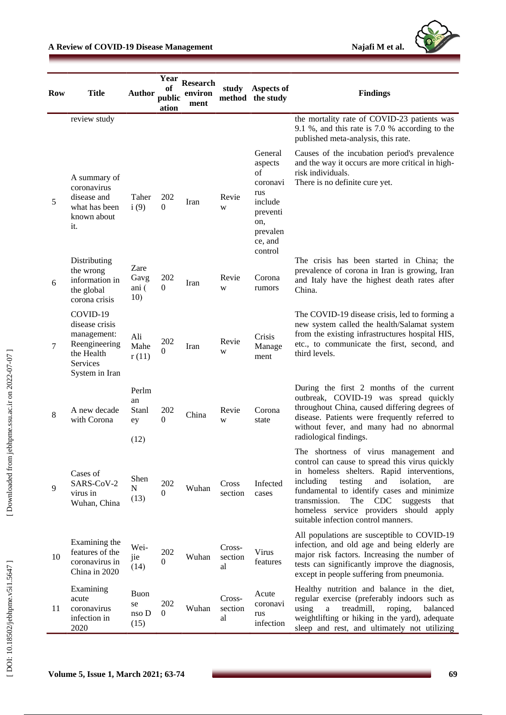

| <b>Row</b> | <b>Title</b>                                                                                                  | <b>Author</b>                      | Year<br>оf<br>public<br>ation | <b>Research</b><br>environ<br>ment | study                   | Aspects of<br>method the study                                                                              | <b>Findings</b>                                                                                                                                                                                                                                                                                                                                                                        |
|------------|---------------------------------------------------------------------------------------------------------------|------------------------------------|-------------------------------|------------------------------------|-------------------------|-------------------------------------------------------------------------------------------------------------|----------------------------------------------------------------------------------------------------------------------------------------------------------------------------------------------------------------------------------------------------------------------------------------------------------------------------------------------------------------------------------------|
|            | review study                                                                                                  |                                    |                               |                                    |                         |                                                                                                             | the mortality rate of COVID-23 patients was<br>9.1 %, and this rate is 7.0 % according to the<br>published meta-analysis, this rate.                                                                                                                                                                                                                                                   |
| 5          | A summary of<br>coronavirus<br>disease and<br>what has been<br>known about<br>it.                             | Taher<br>i(9)                      | 202<br>$\Omega$               | Iran                               | Revie<br>W              | General<br>aspects<br>of<br>coronavi<br>rus<br>include<br>preventi<br>on,<br>prevalen<br>ce, and<br>control | Causes of the incubation period's prevalence<br>and the way it occurs are more critical in high-<br>risk individuals.<br>There is no definite cure yet.                                                                                                                                                                                                                                |
| 6          | Distributing<br>the wrong<br>information in<br>the global<br>corona crisis                                    | Zare<br>Gavg<br>ani (<br>10)       | 202<br>$\mathbf{0}$           | Iran                               | Revie<br>W              | Corona<br>rumors                                                                                            | The crisis has been started in China; the<br>prevalence of corona in Iran is growing, Iran<br>and Italy have the highest death rates after<br>China.                                                                                                                                                                                                                                   |
| 7          | COVID-19<br>disease crisis<br>management:<br>Reengineering<br>the Health<br><b>Services</b><br>System in Iran | Ali<br>Mahe<br>r(11)               | 202<br>$\Omega$               | Iran                               | Revie<br>W              | Crisis<br>Manage<br>ment                                                                                    | The COVID-19 disease crisis, led to forming a<br>new system called the health/Salamat system<br>from the existing infrastructures hospital HIS,<br>etc., to communicate the first, second, and<br>third levels.                                                                                                                                                                        |
| $\,8\,$    | A new decade<br>with Corona                                                                                   | Perlm<br>an<br>Stanl<br>ey<br>(12) | 202<br>$\Omega$               | China                              | Revie<br>W              | Corona<br>state                                                                                             | During the first 2 months of the current<br>outbreak, COVID-19 was spread quickly<br>throughout China, caused differing degrees of<br>disease. Patients were frequently referred to<br>without fever, and many had no abnormal<br>radiological findings.                                                                                                                               |
| 9          | Cases of<br>SARS-CoV-2<br>virus in<br>Wuhan, China                                                            | Shen<br>N<br>(13)                  | 202<br>$\mathbf{0}$           | Wuhan                              | Cross<br>section        | Infected<br>cases                                                                                           | The shortness of virus management and<br>control can cause to spread this virus quickly<br>in homeless shelters. Rapid interventions,<br>including<br>testing<br>and<br>isolation,<br>are<br>fundamental to identify cases and minimize<br>transmission.<br>The<br><b>CDC</b><br>suggests<br>that<br>homeless service providers should<br>apply<br>suitable infection control manners. |
| 10         | Examining the<br>features of the<br>coronavirus in<br>China in 2020                                           | Wei-<br>jie<br>(14)                | 202<br>$\Omega$               | Wuhan                              | Cross-<br>section<br>al | Virus<br>features                                                                                           | All populations are susceptible to COVID-19<br>infection, and old age and being elderly are<br>major risk factors. Increasing the number of<br>tests can significantly improve the diagnosis,<br>except in people suffering from pneumonia.                                                                                                                                            |
| 11         | Examining<br>acute<br>coronavirus<br>infection in<br>2020                                                     | Buon<br>se<br>nso D<br>(15)        | 202<br>$\Omega$               | Wuhan                              | Cross-<br>section<br>al | Acute<br>coronavi<br>rus<br>infection                                                                       | Healthy nutrition and balance in the diet,<br>regular exercise (preferably indoors such as<br>using<br>treadmill,<br>$\mathbf{a}$<br>roping,<br>balanced<br>weightlifting or hiking in the yard), adequate<br>sleep and rest, and ultimately not utilizing                                                                                                                             |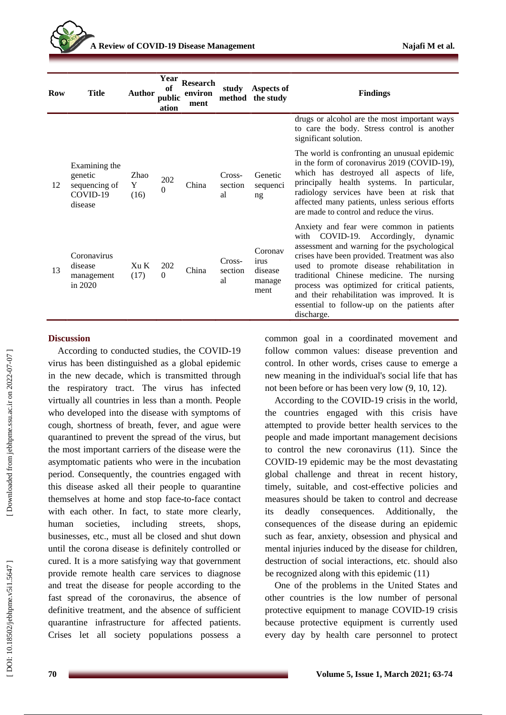| <b>Row</b> | <b>Title</b>                                                     | <b>Author</b>             | Year<br>of<br>public<br>ation | <b>Research</b><br>environ<br>ment |                         | study Aspects of<br>method the study         | <b>Findings</b>                                                                                                                                                                                                                                                                                                                                                                                                                          |
|------------|------------------------------------------------------------------|---------------------------|-------------------------------|------------------------------------|-------------------------|----------------------------------------------|------------------------------------------------------------------------------------------------------------------------------------------------------------------------------------------------------------------------------------------------------------------------------------------------------------------------------------------------------------------------------------------------------------------------------------------|
|            |                                                                  |                           |                               |                                    |                         |                                              | drugs or alcohol are the most important ways<br>to care the body. Stress control is another<br>significant solution.                                                                                                                                                                                                                                                                                                                     |
| 12         | Examining the<br>genetic<br>sequencing of<br>COVID-19<br>disease | Zhao<br>Y<br>(16)         | 202<br>$\theta$               | China                              | Cross-<br>section<br>al | Genetic<br>sequenci<br>ng                    | The world is confronting an unusual epidemic<br>in the form of coronavirus 2019 (COVID-19),<br>which has destroyed all aspects of life,<br>principally health systems. In particular,<br>radiology services have been at risk that<br>affected many patients, unless serious efforts<br>are made to control and reduce the virus.                                                                                                        |
| 13         | Coronavirus<br>disease<br>management<br>in $2020$                | X <sub>II</sub> K<br>(17) | 202<br>$\Omega$               | China                              | Cross-<br>section<br>al | Coronav<br>irus<br>disease<br>manage<br>ment | Anxiety and fear were common in patients<br>with COVID-19. Accordingly, dynamic<br>assessment and warning for the psychological<br>crises have been provided. Treatment was also<br>used to promote disease rehabilitation in<br>traditional Chinese medicine. The nursing<br>process was optimized for critical patients,<br>and their rehabilitation was improved. It is<br>essential to follow-up on the patients after<br>discharge. |

### **Discussion**

According to conducted studies, the COVID -19 virus has been distinguished as a global epidemic in the new decade, which is transmitted through the respiratory tract. The virus has infected virtually all countries in less than a month. People who developed into the disease with symptoms of cough, shortness of breath, fever, and ague were quarantined to prevent the spread of the virus, but the most important carriers of the disease were the asymptomatic patients who were in the incubation period. Consequently, the countries engaged with this disease asked all their people to quarantine themselves at home and stop face -to -face contact with each other. In fact, to state more clearly, human societies, including streets, shops, businesses, etc., must all be closed and shut down until the corona disease is definitely controlled or cured. It is a more satisfying way that government provide remote health care services to diagnose and treat the disease for people according to the fast spread of the coronavirus, the absence of definitive treatment, and the absence of sufficient quarantine infrastructure for affected patients. Crises let all society populations possess a

common goal in a coordinated movement and follow common values: disease prevention and control. In other words, crises cause to emerge a new meaning in the individual's social life that has not been before or has been very low (9, 10, 12).

According to the COVID -19 crisis in the world, the countries engaged with this crisis have attempted to provide better health services to the people and made important management decisions to control the new coronavirus (11). Since the COVID -19 epidemic may be the most devastating global challenge and threat in recent history, timely, suitable, and cost -effective policies and measures should be taken to control and decrease its deadly consequences. Additionally, the consequences of the disease during an epidemic such as fear, anxiety, obsession and physical and mental injuries induced by the disease for children, destruction of social interactions, etc. should also be recognized along with this epidemic (11)

One of the problems in the United States and other countries is the low number of personal protective equipment to manage COVID -19 crisis because protective equipment is currently used every day by health care personnel to protect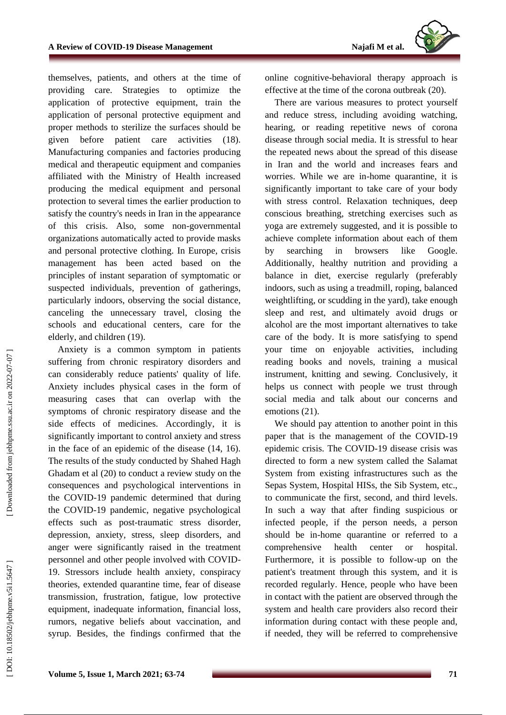themselves, patients, and others at the time of providing care. Strategies to optimize the application of protective equipment, train the application of personal protective equipment and proper methods to sterilize the surfaces should be given before patient care activities (18). Manufacturing companies and factories producing medical and therapeutic equipment and companies affiliated with the Ministry of Health increased producing the medical equipment and personal protection to several times the earlier production to satisfy the country's needs in Iran in the appearance of this crisis. Also, some non -governmental organizations automatically acted to provide masks and personal protective clothing. In Europe, crisis management has been acted based on the principles of instant separation of symptomatic or suspected individuals, prevention of gatherings, particularly indoors, observing the social distance, canceling the unnecessary travel, closing the schools and educational centers, care for the elderly, and children (19).

Anxiety is a common symptom in patients suffering from chronic respiratory disorders and can considerably reduce patients' quality of life. Anxiety includes physical cases in the form of measuring cases that can overlap with the symptoms of chronic respiratory disease and the side effects of medicines. Accordingly, it is significantly important to control anxiety and stress in the face of an epidemic of the disease (14, 16). The results of the study conducted by Shahed Hagh Ghadam et al (20) to conduct a review study on the consequences and psychological interventions in the COVID -19 pandemic determined that during the COVID -19 pandemic, negative psychological effects such as post -traumatic stress disorder, depression, anxiety, stress, sleep disorders, and anger were significantly raised in the treatment personnel and other people involved with COVID - 1 9 . Stressors include health anxiety, conspiracy theories, extended quarantine time, fear of disease transmission, frustration, fatigue, low protective equipment, inadequate information, financial loss, rumors, negative beliefs about vaccination, and syrup. Besides, the findings confirmed that the

online cognitive -behavioral therapy approach is effective at the time of the corona outbreak (20).

There are various measures to protect yourself and reduce stress, including avoiding watching, hearing, or reading repetitive news of corona disease through social media. It is stressful to hear the repeated news about the spread of this disease in Iran and the world and increases fears and worries. While we are in -home quarantine, it is significantly important to take care of your body with stress control. Relaxation techniques, deep conscious breathing, stretching exercises such as yoga are extremely suggested, and it is possible to achieve complete information about each of them by searching in browsers like Google. Additionally, healthy nutrition and providing a balance in diet, exercise regularly (preferably indoors, such as using a treadmill, roping, balanced weightlifting, or scudding in the yard), take enough sleep and rest, and ultimately avoid drugs or alcohol are the most important alternatives to take care of the body. It is more satisfying to spend your time on enjoyable activities, including reading books and novels, training a musical instrument, knitting and sewing. Conclusively, it helps us connect with people we trust through social media and talk about our concerns and emotions (21).

We should pay attention to another point in this paper that is the management of the COVID-19 epidemic crisis. The COVID -19 disease crisis was directed to form a new system called the Salamat System from existing infrastructures such as the Sepas System, Hospital HISs, the Sib System, etc., to communicate the first, second, and third levels. In such a way that after finding suspicious or infected people, if the person needs, a person should be in -home quarantine or referred to a comprehensive health center or hospital. Furthermore, it is possible to follow -up on the patient's treatment through this system, and it is recorded regularly. Hence, people who have been in contact with the patient are observed through the system and health care providers also record their information during contact with these people and, if needed, they will be referred to comprehensive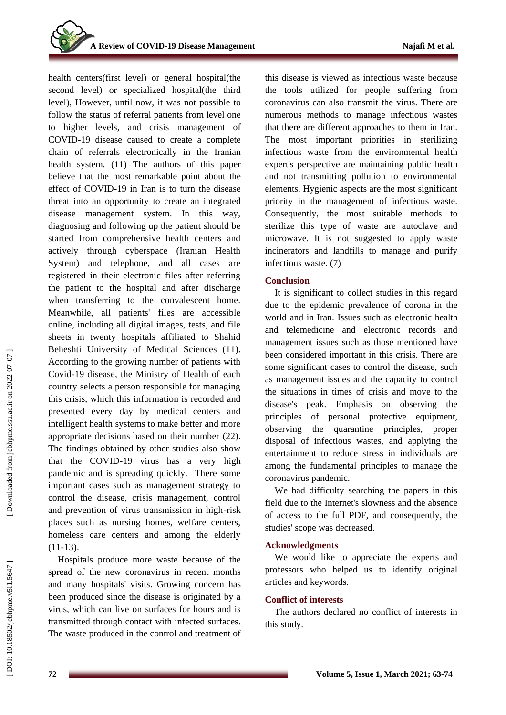health centers(first level) or general hospital(the second level) or specialized hospital(the third level), However, until now, it was not possible to follow the status of referral patients from level one to higher levels, and crisis management of COVID -19 disease caused to create a complete chain of referrals electronically in the Iranian health system. (11) The authors of this paper believe that the most remarkable point about the effect of COVID -19 in Iran is to turn the disease threat into an opportunity to create an integrated disease management system. In this way, diagnosing and following up the patient should be started from comprehensive health centers and actively through cyberspace (Iranian Health System) and telephone, and all cases are registered in their electronic files after referring the patient to the hospital and after discharge when transferring to the convalescent home. Meanwhile, all patients' files are accessible online, including all digital images, tests, and file sheets in twenty hospitals affiliated to Shahid Beheshti University of Medical Sciences (11). According to the growing number of patients with Covid -19 disease, the Ministry of Health of each country selects a person responsible for managing this crisis, which this information is recorded and presented every day by medical centers and intelligent health systems to make better and more appropriate decisions based on their number (22) . The findings obtained by other studies also show that the COVID -19 virus has a very high pandemic and is spreading quickly. There some important cases such as management strategy to control the disease, crisis management, control and prevention of virus transmission in high -risk places such as nursing homes, welfare centers, homeless care centers and among the elderly  $(11-13)$ .

Hospitals produce more waste because of the spread of the new coronavirus in recent months and many hospitals' visits. Growing concern has been produced since the disease is originated by a virus, which can live on surfaces for hours and is transmitted through contact with infected surfaces. The waste produced in the control and treatment of this disease is viewed as infectious waste because the tools utilized for people suffering from coronavirus can also transmit the virus. There are numerous methods to manage infectious wastes that there are different approaches to them in Iran. The most important priorities in sterilizing infectious waste from the environmental health expert's perspective are maintaining public health and not transmitting pollution to environmental elements. Hygienic aspects are the most significant priority in the management of infectious waste. Consequently, the most suitable methods to sterilize this type of waste are autoclave and microwave. It is not suggested to apply waste incinerators and landfills to manage and purify infectious waste. (7)

## **Conclusion**

It is significant to collect studies in this regard due to the epidemic prevalence of corona in the world and in Iran. Issues such as electronic health and telemedicine and electronic records and management issues such as those mentioned have been considered important in this crisis. There are some significant cases to control the disease, such as management issues and the capacity to control the situations in times of crisis and move to the disease's peak. Emphasis on observing the principles of personal protective equipment, observing the quarantine principles, proper disposal of infectious wastes, and applying the entertainment to reduce stress in individuals are among the fundamental principles to manage the coronavirus pandemic.

We had difficulty searching the papers in this field due to the Internet's slowness and the absence of access to the full PDF, and consequently, the studies' scope was decreased.

# **Acknowledgments**

We would like to appreciate the experts and professors who helped us to identify original articles and keywords.

# **Conflict of interests**

The authors declared no conflict of interests in this study.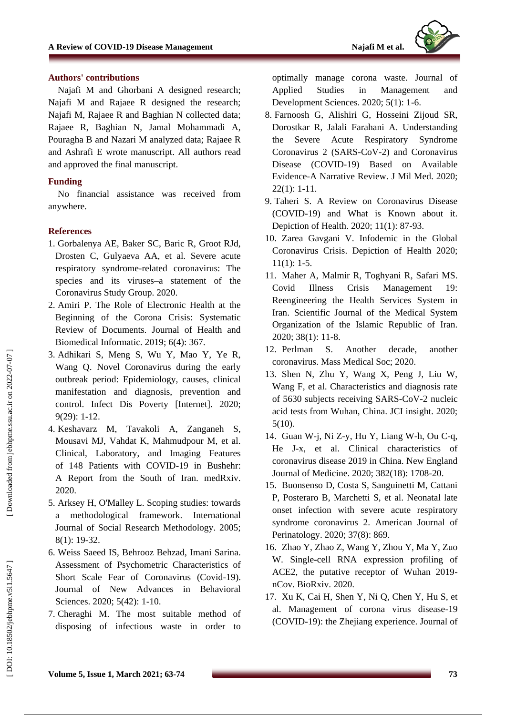

#### **Authors' contributions**

Najafi M and Ghorbani A designed research; Najafi M and Rajaee R designed the research; Najafi M, Rajaee R and Baghian N collected data; Rajaee R, Baghian N, Jamal Mohammadi A, Pouragha B and Nazari M analyzed data; Rajaee R and Ashrafi E wrote manuscript. All authors read and approved the final manuscript.

### **Funding**

No financial assistance was received from anywher e .

#### **References**

- 1. Gorbalenya AE, Baker SC, Baric R, Groot RJd, Drosten C, Gulyaeva AA, et al. Severe acute respiratory syndrome -related coronavirus: The species and its viruses –a statement of the Coronavirus Study Group. 2020.
- 2 . Amiri P. The Role of Electronic Health at the Beginning of the Corona Crisis: Systematic Review of Documents. Journal of Health and Biomedical Informatic. 2019; 6(4): 367.
- 3 . Adhikari S, Meng S, Wu Y, Mao Y, Ye R, Wang Q. Novel Coronavirus during the early outbreak period: Epidemiology, causes, clinical manifestation and diagnosis, prevention and control. Infect Dis Poverty [Internet]. 2020; 9(29): 1 -12.
- 4 . Keshavarz M, Tavakoli A, Zanganeh S, Mousavi MJ, Vahdat K, Mahmudpour M, et al. Clinical, Laboratory, and Imaging Features of 148 Patients with COVID -19 in Bushehr: A Report from the South of Iran. medRxiv. 2020.
- 5 . Arksey H, O'Malley L. Scoping studies: towards a methodological framework. International Journal of Social Research Methodology. 2005; 8(1): 19 -32.
- 6 . Weiss Saeed IS, Behrooz Behzad, Imani Sarina. Assessment of Psychometric Characteristics of Short Scale Fear of Coronavirus (Covid -19). Journal of New Advances in Behavioral Sciences. 2020; 5(42): 1 -10.
- 7 . Cheraghi M. The most suitable method of disposing of infectious waste in order to

optimally manage corona waste. Journal of Applied Studies in Management and Development Sciences. 2020; 5(1): 1 -6.

- 8 . Farnoosh G, Alishiri G, Hosseini Zijoud SR, Dorostkar R, Jalali Farahani A. Understanding the Severe Acute Respiratory Syndrome Coronavirus 2 (SARS -CoV -2) and Coronavirus Disease (COVID -19) Based on Available Evidence -A Narrative Review. J Mil Med. 2020; 22(1): 1 -11.
- 9 . Taheri S. A Review on Coronavirus Disease (COVID -19) and What is Known about it. Depiction of Health. 2020; 11(1): 87 -93.
- 10 . Zarea Gavgani V. Infodemic in the Global Coronavirus Crisis. Depiction of Health 2020;  $11(1): 1-5.$
- 11 . Maher A, Malmir R, Toghyani R, Safari MS. Covid Illness Crisis Management 19: Reengineering the Health Services System in Iran. Scientific Journal of the Medical System Organization of the Islamic Republic of Iran. 2020; 38(1): 11 -8.
- 12 . Perlman S. Another decade, another coronavirus. Mass Medical Soc; 2020.
- 13 . Shen N, Zhu Y, Wang X, Peng J, Liu W, Wang F, et al. Characteristics and diagnosis rate of 5630 subjects receiving SARS -CoV -2 nucleic acid tests from Wuhan, China. JCI insight. 2020; 5(10).
- 14 . Guan W -j, Ni Z -y, Hu Y, Liang W -h, Ou C -q, He J -x, et al. Clinical characteristics of coronavirus disease 2019 in China. New England Journal of Medicine. 2020; 382(18): 1708 -20.
- 15 . Buonsenso D, Costa S, Sanguinetti M, Cattani P, Posteraro B, Marchetti S, et al. Neonatal late onset infection with severe acute respiratory syndrome coronavirus 2. American Journal of Perinatology. 2020; 37(8): 869.
- 16 . Zhao Y, Zhao Z, Wang Y, Zhou Y, Ma Y, Zuo W. Single -cell RNA expression profiling of ACE2, the putative receptor of Wuhan 2019 nCov. BioRxiv. 2020.
- 17 . Xu K, Cai H, Shen Y, Ni Q, Chen Y, Hu S, et al. Management of corona virus disease -19 (COVID -19): the Zhejiang experience. Journal of